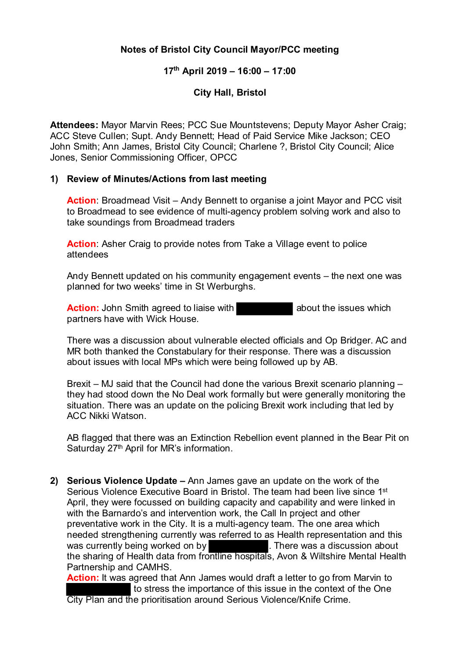## **Notes of Bristol City Council Mayor/PCC meeting**

## **17th April 2019 – 16:00 – 17:00**

## **City Hall, Bristol**

**Attendees:** Mayor Marvin Rees; PCC Sue Mountstevens; Deputy Mayor Asher Craig; ACC Steve Cullen; Supt. Andy Bennett; Head of Paid Service Mike Jackson; CEO John Smith; Ann James, Bristol City Council; Charlene ?, Bristol City Council; Alice Jones, Senior Commissioning Officer, OPCC

## **1) Review of Minutes/Actions from last meeting**

**Action:** Broadmead Visit – Andy Bennett to organise a joint Mayor and PCC visit to Broadmead to see evidence of multi-agency problem solving work and also to take soundings from Broadmead traders

**Action:** Asher Craig to provide notes from Take a Village event to police attendees

Andy Bennett updated on his community engagement events – the next one was planned for two weeks' time in St Werburghs.

**Action:** John Smith agreed to liaise with **about the issues which** about the issues which partners have with Wick House.

There was a discussion about vulnerable elected officials and Op Bridger. AC and MR both thanked the Constabulary for their response. There was a discussion about issues with local MPs which were being followed up by AB.

Brexit – MJ said that the Council had done the various Brexit scenario planning – they had stood down the No Deal work formally but were generally monitoring the situation. There was an update on the policing Brexit work including that led by ACC Nikki Watson.

AB flagged that there was an Extinction Rebellion event planned in the Bear Pit on Saturday 27<sup>th</sup> April for MR's information.

**2) Serious Violence Update –** Ann James gave an update on the work of the Serious Violence Executive Board in Bristol. The team had been live since 1<sup>st</sup> April, they were focussed on building capacity and capability and were linked in with the Barnardo's and intervention work, the Call In project and other preventative work in the City. It is a multi-agency team. The one area which needed strengthening currently was referred to as Health representation and this was currently being worked on by was currently being worked on by the sharing of Health data from frontline hospitals, Avon & Wiltshire Mental Health Partnership and CAMHS.

**Action:** It was agreed that Ann James would draft a letter to go from Marvin to to stress the importance of this issue in the context of the One City Plan and the prioritisation around Serious Violence/Knife Crime.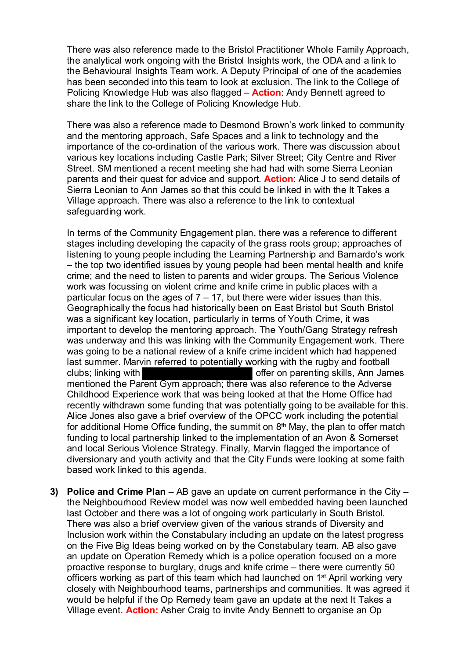There was also reference made to the Bristol Practitioner Whole Family Approach, the analytical work ongoing with the Bristol Insights work, the ODA and a link to the Behavioural Insights Team work. A Deputy Principal of one of the academies has been seconded into this team to look at exclusion. The link to the College of Policing Knowledge Hub was also flagged – **Action**: Andy Bennett agreed to share the link to the College of Policing Knowledge Hub.

There was also a reference made to Desmond Brown's work linked to community and the mentoring approach, Safe Spaces and a link to technology and the importance of the co-ordination of the various work. There was discussion about various key locations including Castle Park; Silver Street; City Centre and River Street. SM mentioned a recent meeting she had had with some Sierra Leonian parents and their quest for advice and support. **Action**: Alice J to send details of Sierra Leonian to Ann James so that this could be linked in with the It Takes a Village approach. There was also a reference to the link to contextual safeguarding work.

In terms of the Community Engagement plan, there was a reference to different stages including developing the capacity of the grass roots group; approaches of listening to young people including the Learning Partnership and Barnardo's work – the top two identified issues by young people had been mental health and knife crime; and the need to listen to parents and wider groups. The Serious Violence work was focussing on violent crime and knife crime in public places with a particular focus on the ages of  $7 - 17$ , but there were wider issues than this. Geographically the focus had historically been on East Bristol but South Bristol was a significant key location, particularly in terms of Youth Crime, it was important to develop the mentoring approach. The Youth/Gang Strategy refresh was underway and this was linking with the Community Engagement work. There was going to be a national review of a knife crime incident which had happened last summer. Marvin referred to potentially working with the rugby and football clubs; linking with **offer on parenting skills, Ann James** mentioned the Parent Gym approach; there was also reference to the Adverse Childhood Experience work that was being looked at that the Home Office had recently withdrawn some funding that was potentially going to be available for this. Alice Jones also gave a brief overview of the OPCC work including the potential for additional Home Office funding, the summit on  $8<sup>th</sup>$  May, the plan to offer match funding to local partnership linked to the implementation of an Avon & Somerset and local Serious Violence Strategy. Finally, Marvin flagged the importance of diversionary and youth activity and that the City Funds were looking at some faith based work linked to this agenda.

**3) Police and Crime Plan –** AB gave an update on current performance in the City – the Neighbourhood Review model was now well embedded having been launched last October and there was a lot of ongoing work particularly in South Bristol. There was also a brief overview given of the various strands of Diversity and Inclusion work within the Constabulary including an update on the latest progress on the Five Big Ideas being worked on by the Constabulary team. AB also gave an update on Operation Remedy which is a police operation focused on a more proactive response to burglary, drugs and knife crime – there were currently 50 officers working as part of this team which had launched on 1st April working very closely with Neighbourhood teams, partnerships and communities. It was agreed it would be helpful if the Op Remedy team gave an update at the next It Takes a Village event. **Action:** Asher Craig to invite Andy Bennett to organise an Op